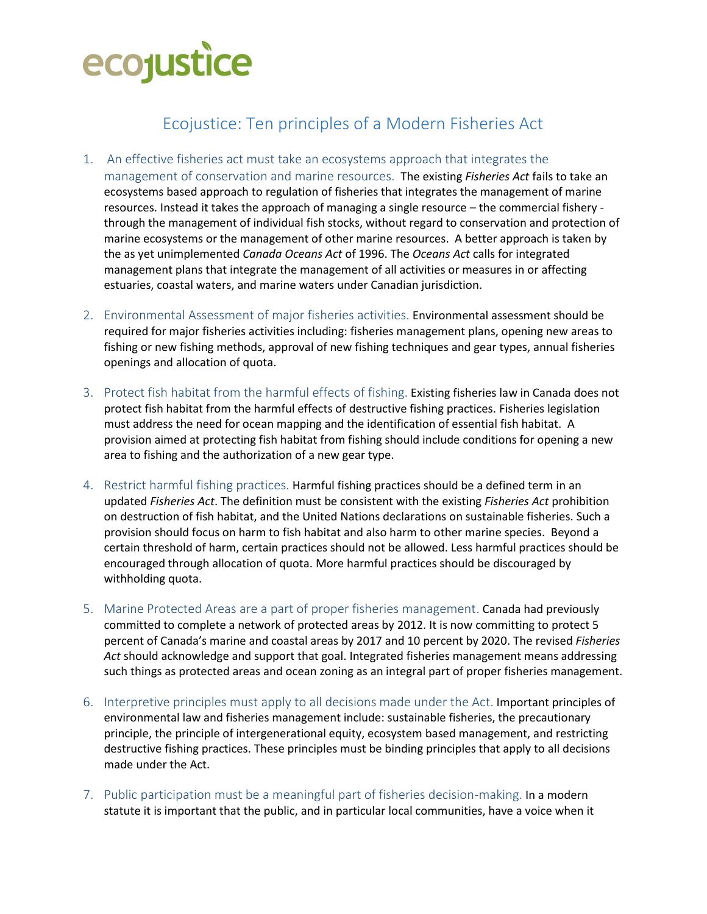

## Ecojustice: Ten principles of a Modern Fisheries Act

- 1. An effective fisheries act must take an ecosystems approach that integrates the management of conservation and marine resources. The existing *Fisheries Act* fails to take an ecosystems based approach to regulation of fisheries that integrates the management of marine resources. Instead it takes the approach of managing a single resource – the commercial fishery through the management of individual fish stocks, without regard to conservation and protection of marine ecosystems or the management of other marine resources. A better approach is taken by the as yet unimplemented *Canada Oceans Act* of 1996. The *Oceans Act* calls for integrated management plans that integrate the management of all activities or measures in or affecting estuaries, coastal waters, and marine waters under Canadian jurisdiction.
- 2. Environmental Assessment of major fisheries activities. Environmental assessment should be required for major fisheries activities including: fisheries management plans, opening new areas to fishing or new fishing methods, approval of new fishing techniques and gear types, annual fisheries openings and allocation of quota.
- 3. Protect fish habitat from the harmful effects of fishing. Existing fisheries law in Canada does not protect fish habitat from the harmful effects of destructive fishing practices. Fisheries legislation must address the need for ocean mapping and the identification of essential fish habitat. A provision aimed at protecting fish habitat from fishing should include conditions for opening a new area to fishing and the authorization of a new gear type.
- 4. Restrict harmful fishing practices. Harmful fishing practices should be a defined term in an updated *Fisheries Act*. The definition must be consistent with the existing *Fisheries Act* prohibition on destruction of fish habitat, and the United Nations declarations on sustainable fisheries. Such a provision should focus on harm to fish habitat and also harm to other marine species. Beyond a certain threshold of harm, certain practices should not be allowed. Less harmful practices should be encouraged through allocation of quota. More harmful practices should be discouraged by withholding quota.
- 5. Marine Protected Areas are a part of proper fisheries management. Canada had previously committed to complete a network of protected areas by 2012. It is now committing to protect 5 percent of Canada's marine and coastal areas by 2017 and 10 percent by 2020. The revised *Fisheries Act* should acknowledge and support that goal. Integrated fisheries management means addressing such things as protected areas and ocean zoning as an integral part of proper fisheries management.
- 6. Interpretive principles must apply to all decisions made under the Act. Important principles of environmental law and fisheries management include: sustainable fisheries, the precautionary principle, the principle of intergenerational equity, ecosystem based management, and restricting destructive fishing practices. These principles must be binding principles that apply to all decisions made under the Act.
- 7. Public participation must be a meaningful part of fisheries decision-making. In a modern statute it is important that the public, and in particular local communities, have a voice when it